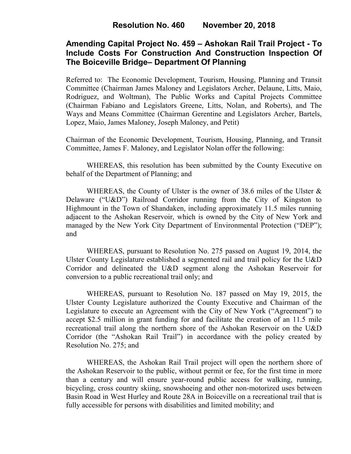# **Amending Capital Project No. 459 – Ashokan Rail Trail Project - To Include Costs For Construction And Construction Inspection Of The Boiceville Bridge– Department Of Planning**

Referred to: The Economic Development, Tourism, Housing, Planning and Transit Committee (Chairman James Maloney and Legislators Archer, Delaune, Litts, Maio, Rodriguez, and Woltman), The Public Works and Capital Projects Committee (Chairman Fabiano and Legislators Greene, Litts, Nolan, and Roberts), and The Ways and Means Committee (Chairman Gerentine and Legislators Archer, Bartels, Lopez, Maio, James Maloney, Joseph Maloney, and Petit)

Chairman of the Economic Development, Tourism, Housing, Planning, and Transit Committee, James F. Maloney, and Legislator Nolan offer the following:

WHEREAS, this resolution has been submitted by the County Executive on behalf of the Department of Planning; and

WHEREAS, the County of Ulster is the owner of 38.6 miles of the Ulster & Delaware ("U&D") Railroad Corridor running from the City of Kingston to Highmount in the Town of Shandaken, including approximately 11.5 miles running adjacent to the Ashokan Reservoir, which is owned by the City of New York and managed by the New York City Department of Environmental Protection ("DEP"); and

WHEREAS, pursuant to Resolution No. 275 passed on August 19, 2014, the Ulster County Legislature established a segmented rail and trail policy for the U&D Corridor and delineated the U&D segment along the Ashokan Reservoir for conversion to a public recreational trail only; and

WHEREAS, pursuant to Resolution No. 187 passed on May 19, 2015, the Ulster County Legislature authorized the County Executive and Chairman of the Legislature to execute an Agreement with the City of New York ("Agreement") to accept \$2.5 million in grant funding for and facilitate the creation of an 11.5 mile recreational trail along the northern shore of the Ashokan Reservoir on the U&D Corridor (the "Ashokan Rail Trail") in accordance with the policy created by Resolution No. 275; and

WHEREAS, the Ashokan Rail Trail project will open the northern shore of the Ashokan Reservoir to the public, without permit or fee, for the first time in more than a century and will ensure year-round public access for walking, running, bicycling, cross country skiing, snowshoeing and other non-motorized uses between Basin Road in West Hurley and Route 28A in Boiceville on a recreational trail that is fully accessible for persons with disabilities and limited mobility; and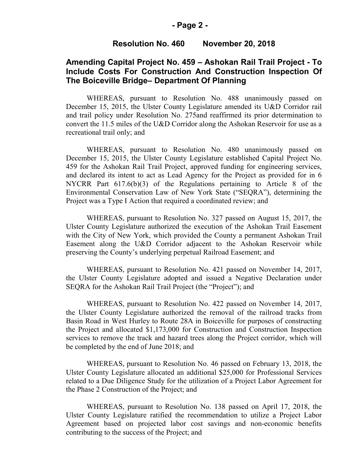### **- Page 2 -**

#### **Resolution No. 460 November 20, 2018**

## **Amending Capital Project No. 459 – Ashokan Rail Trail Project - To Include Costs For Construction And Construction Inspection Of The Boiceville Bridge– Department Of Planning**

WHEREAS, pursuant to Resolution No. 488 unanimously passed on December 15, 2015, the Ulster County Legislature amended its U&D Corridor rail and trail policy under Resolution No. 275and reaffirmed its prior determination to convert the 11.5 miles of the U&D Corridor along the Ashokan Reservoir for use as a recreational trail only; and

WHEREAS, pursuant to Resolution No. 480 unanimously passed on December 15, 2015, the Ulster County Legislature established Capital Project No. 459 for the Ashokan Rail Trail Project, approved funding for engineering services, and declared its intent to act as Lead Agency for the Project as provided for in 6 NYCRR Part 617.6(b)(3) of the Regulations pertaining to Article 8 of the Environmental Conservation Law of New York State ("SEQRA"), determining the Project was a Type I Action that required a coordinated review; and

WHEREAS, pursuant to Resolution No. 327 passed on August 15, 2017, the Ulster County Legislature authorized the execution of the Ashokan Trail Easement with the City of New York, which provided the County a permanent Ashokan Trail Easement along the U&D Corridor adjacent to the Ashokan Reservoir while preserving the County's underlying perpetual Railroad Easement; and

WHEREAS, pursuant to Resolution No. 421 passed on November 14, 2017, the Ulster County Legislature adopted and issued a Negative Declaration under SEQRA for the Ashokan Rail Trail Project (the "Project"); and

WHEREAS, pursuant to Resolution No. 422 passed on November 14, 2017, the Ulster County Legislature authorized the removal of the railroad tracks from Basin Road in West Hurley to Route 28A in Boiceville for purposes of constructing the Project and allocated \$1,173,000 for Construction and Construction Inspection services to remove the track and hazard trees along the Project corridor, which will be completed by the end of June 2018; and

WHEREAS, pursuant to Resolution No. 46 passed on February 13, 2018, the Ulster County Legislature allocated an additional \$25,000 for Professional Services related to a Due Diligence Study for the utilization of a Project Labor Agreement for the Phase 2 Construction of the Project; and

WHEREAS, pursuant to Resolution No. 138 passed on April 17, 2018, the Ulster County Legislature ratified the recommendation to utilize a Project Labor Agreement based on projected labor cost savings and non-economic benefits contributing to the success of the Project; and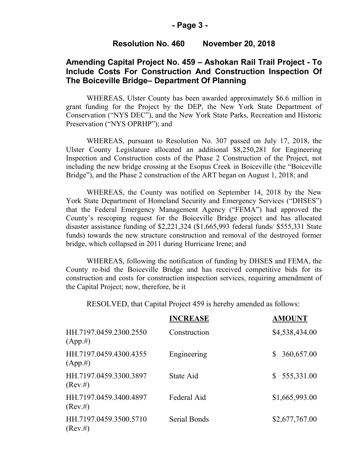### **- Page 3 -**

#### **Resolution No. 460 November 20, 2018**

## **Amending Capital Project No. 459 – Ashokan Rail Trail Project - To Include Costs For Construction And Construction Inspection Of The Boiceville Bridge– Department Of Planning**

WHEREAS, Ulster County has been awarded approximately \$6.6 million in grant funding for the Project by the DEP, the New York State Department of Conservation ("NYS DEC"), and the New York State Parks, Recreation and Historic Preservation ("NYS OPRHP"); and

WHEREAS, pursuant to Resolution No. 307 passed on July 17, 2018, the Ulster County Legislature allocated an additional \$8,250,281 for Engineering Inspection and Construction costs of the Phase 2 Construction of the Project, not including the new bridge crossing at the Esopus Creek in Boiceville (the "Boiceville Bridge"), and the Phase 2 construction of the ART began on August 1, 2018; and

WHEREAS, the County was notified on September 14, 2018 by the New York State Department of Homeland Security and Emergency Services ("DHSES") that the Federal Emergency Management Agency ("FEMA") had approved the County's rescoping request for the Boiceville Bridge project and has allocated disaster assistance funding of \$2,221,324 (\$1,665,993 federal funds/ \$555,331 State funds) towards the new structure construction and removal of the destroyed former bridge, which collapsed in 2011 during Hurricane Irene; and

WHEREAS, following the notification of funding by DHSES and FEMA, the County re-bid the Boiceville Bridge and has received competitive bids for its construction and costs for construction inspection services, requiring amendment of the Capital Project; now, therefore, be it

RESOLVED, that Capital Project 459 is hereby amended as follows:

|                                       | <b>INCREASE</b>     | <b>AMOUNT</b>                |
|---------------------------------------|---------------------|------------------------------|
| HH.7197.0459.2300.2550<br>$(App. \#)$ | Construction        | \$4,538,434.00               |
| HH.7197.0459.4300.4355<br>$(App. \#)$ | Engineering         | 360,657.00<br><sup>S</sup>   |
| HH.7197.0459.3300.3897<br>$(Rev. \#)$ | State Aid           | 555,331.00<br>$\mathbb{S}^-$ |
| HH.7197.0459.3400.4897<br>$(Rev. \#)$ | Federal Aid         | \$1,665,993.00               |
| HH.7197.0459.3500.5710<br>$(Rev. \#)$ | <b>Serial Bonds</b> | \$2,677,767.00               |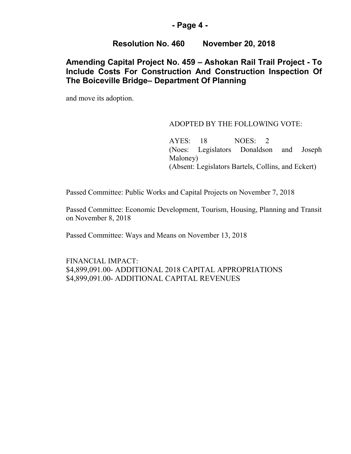## **- Page 4 -**

## **Resolution No. 460 November 20, 2018**

## **Amending Capital Project No. 459 – Ashokan Rail Trail Project - To Include Costs For Construction And Construction Inspection Of The Boiceville Bridge– Department Of Planning**

and move its adoption.

### ADOPTED BY THE FOLLOWING VOTE:

AYES: 18 NOES: 2 (Noes: Legislators Donaldson and Joseph Maloney) (Absent: Legislators Bartels, Collins, and Eckert)

Passed Committee: Public Works and Capital Projects on November 7, 2018

Passed Committee: Economic Development, Tourism, Housing, Planning and Transit on November 8, 2018

Passed Committee: Ways and Means on November 13, 2018

FINANCIAL IMPACT: \$4,899,091.00- ADDITIONAL 2018 CAPITAL APPROPRIATIONS \$4,899,091.00- ADDITIONAL CAPITAL REVENUES